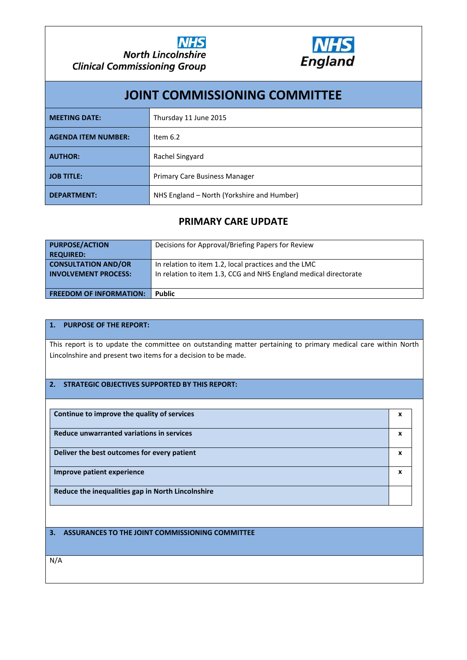



| <b>JOINT COMMISSIONING COMMITTEE</b> |                                            |  |  |  |  |
|--------------------------------------|--------------------------------------------|--|--|--|--|
| <b>MEETING DATE:</b>                 | Thursday 11 June 2015                      |  |  |  |  |
| <b>AGENDA ITEM NUMBER:</b>           | Item $6.2$                                 |  |  |  |  |
| <b>AUTHOR:</b>                       | Rachel Singyard                            |  |  |  |  |
| <b>JOB TITLE:</b>                    | <b>Primary Care Business Manager</b>       |  |  |  |  |
| <b>DEPARTMENT:</b>                   | NHS England – North (Yorkshire and Humber) |  |  |  |  |

## **PRIMARY CARE UPDATE**

| <b>PURPOSE/ACTION</b>          | Decisions for Approval/Briefing Papers for Review                |  |
|--------------------------------|------------------------------------------------------------------|--|
| <b>REQUIRED:</b>               |                                                                  |  |
| <b>CONSULTATION AND/OR</b>     | In relation to item 1.2, local practices and the LMC             |  |
| <b>INVOLVEMENT PROCESS:</b>    | In relation to item 1.3, CCG and NHS England medical directorate |  |
|                                |                                                                  |  |
| <b>FREEDOM OF INFORMATION:</b> | <b>Public</b>                                                    |  |

#### **1. PURPOSE OF THE REPORT:**

This report is to update the committee on outstanding matter pertaining to primary medical care within North Lincolnshire and present two items for a decision to be made.

#### **2. STRATEGIC OBJECTIVES SUPPORTED BY THIS REPORT:**

| Continue to improve the quality of services       | x |
|---------------------------------------------------|---|
| Reduce unwarranted variations in services         | x |
| Deliver the best outcomes for every patient       | x |
| Improve patient experience                        | x |
| Reduce the inequalities gap in North Lincolnshire |   |

**3. ASSURANCES TO THE JOINT COMMISSIONING COMMITTEE**

N/A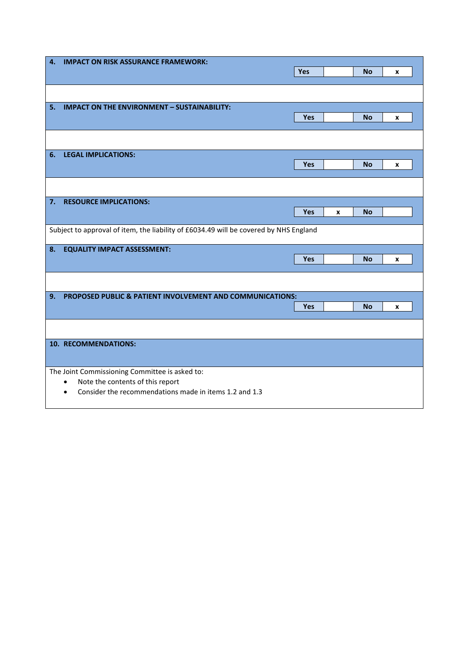| 4.                                            | <b>IMPACT ON RISK ASSURANCE FRAMEWORK:</b>                                            |     |   |           |   |  |
|-----------------------------------------------|---------------------------------------------------------------------------------------|-----|---|-----------|---|--|
|                                               |                                                                                       | Yes |   | <b>No</b> | X |  |
|                                               |                                                                                       |     |   |           |   |  |
|                                               |                                                                                       |     |   |           |   |  |
| 5.                                            | <b>IMPACT ON THE ENVIRONMENT - SUSTAINABILITY:</b>                                    |     |   |           |   |  |
|                                               |                                                                                       | Yes |   | <b>No</b> | X |  |
|                                               |                                                                                       |     |   |           |   |  |
|                                               |                                                                                       |     |   |           |   |  |
| 6.                                            | <b>LEGAL IMPLICATIONS:</b>                                                            |     |   |           |   |  |
|                                               |                                                                                       | Yes |   | <b>No</b> | x |  |
|                                               |                                                                                       |     |   |           |   |  |
|                                               |                                                                                       |     |   |           |   |  |
| 7.                                            | <b>RESOURCE IMPLICATIONS:</b>                                                         |     |   |           |   |  |
|                                               |                                                                                       | Yes | X | <b>No</b> |   |  |
|                                               |                                                                                       |     |   |           |   |  |
|                                               | Subject to approval of item, the liability of £6034.49 will be covered by NHS England |     |   |           |   |  |
| 8.                                            | <b>EQUALITY IMPACT ASSESSMENT:</b>                                                    |     |   |           |   |  |
|                                               |                                                                                       | Yes |   | <b>No</b> | X |  |
|                                               |                                                                                       |     |   |           |   |  |
|                                               |                                                                                       |     |   |           |   |  |
| 9.                                            | PROPOSED PUBLIC & PATIENT INVOLVEMENT AND COMMUNICATIONS:                             |     |   |           |   |  |
|                                               |                                                                                       | Yes |   | <b>No</b> | X |  |
|                                               |                                                                                       |     |   |           |   |  |
|                                               |                                                                                       |     |   |           |   |  |
|                                               | 10. RECOMMENDATIONS:                                                                  |     |   |           |   |  |
|                                               |                                                                                       |     |   |           |   |  |
|                                               | The Joint Commissioning Committee is asked to:                                        |     |   |           |   |  |
| Note the contents of this report<br>$\bullet$ |                                                                                       |     |   |           |   |  |
|                                               | Consider the recommendations made in items 1.2 and 1.3<br>$\bullet$                   |     |   |           |   |  |
|                                               |                                                                                       |     |   |           |   |  |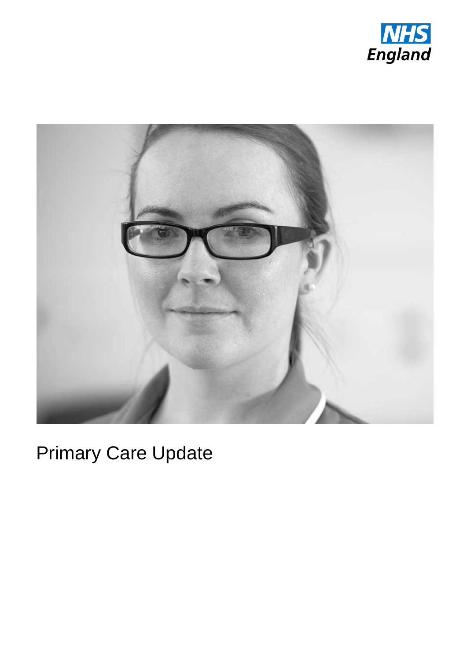



# Primary Care Update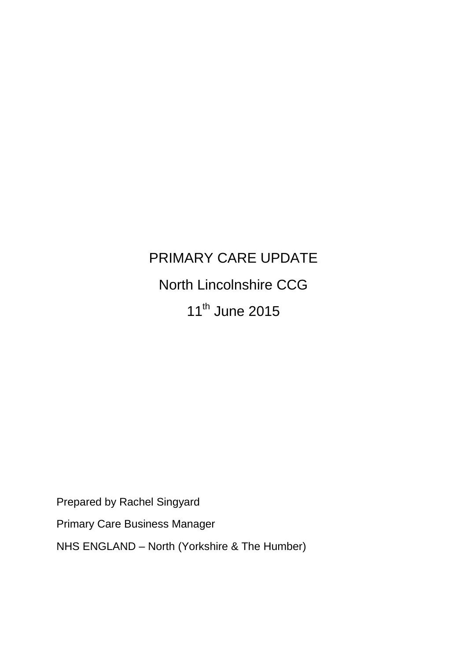# PRIMARY CARE UPDATE North Lincolnshire CCG 11<sup>th</sup> June 2015

Prepared by Rachel Singyard

Primary Care Business Manager

NHS ENGLAND – North (Yorkshire & The Humber)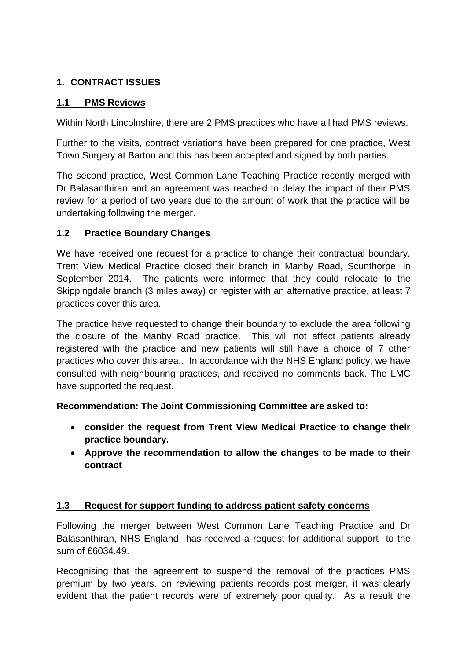## **1. CONTRACT ISSUES**

#### **1.1 PMS Reviews**

Within North Lincolnshire, there are 2 PMS practices who have all had PMS reviews.

Further to the visits, contract variations have been prepared for one practice, West Town Surgery at Barton and this has been accepted and signed by both parties.

The second practice, West Common Lane Teaching Practice recently merged with Dr Balasanthiran and an agreement was reached to delay the impact of their PMS review for a period of two years due to the amount of work that the practice will be undertaking following the merger.

## **1.2 Practice Boundary Changes**

We have received one request for a practice to change their contractual boundary. Trent View Medical Practice closed their branch in Manby Road, Scunthorpe, in September 2014. The patients were informed that they could relocate to the Skippingdale branch (3 miles away) or register with an alternative practice, at least 7 practices cover this area.

The practice have requested to change their boundary to exclude the area following the closure of the Manby Road practice. This will not affect patients already registered with the practice and new patients will still have a choice of 7 other practices who cover this area.. In accordance with the NHS England policy, we have consulted with neighbouring practices, and received no comments back. The LMC have supported the request.

**Recommendation: The Joint Commissioning Committee are asked to:**

- **consider the request from Trent View Medical Practice to change their practice boundary.**
- **Approve the recommendation to allow the changes to be made to their contract**

#### **1.3 Request for support funding to address patient safety concerns**

Following the merger between West Common Lane Teaching Practice and Dr Balasanthiran, NHS England has received a request for additional support to the sum of £6034.49.

Recognising that the agreement to suspend the removal of the practices PMS premium by two years, on reviewing patients records post merger, it was clearly evident that the patient records were of extremely poor quality. As a result the